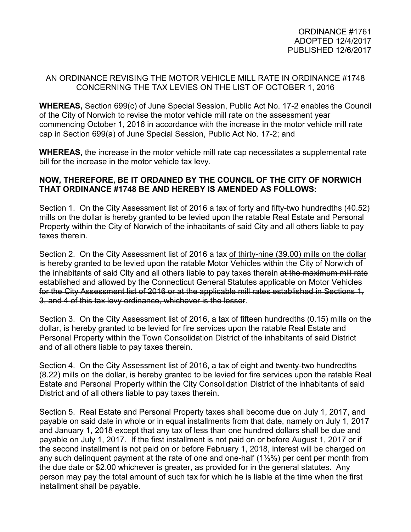## AN ORDINANCE REVISING THE MOTOR VEHICLE MILL RATE IN ORDINANCE #1748 CONCERNING THE TAX LEVIES ON THE LIST OF OCTOBER 1, 2016

**WHEREAS,** Section 699(c) of June Special Session, Public Act No. 17-2 enables the Council of the City of Norwich to revise the motor vehicle mill rate on the assessment year commencing October 1, 2016 in accordance with the increase in the motor vehicle mill rate cap in Section 699(a) of June Special Session, Public Act No. 17-2; and

**WHEREAS,** the increase in the motor vehicle mill rate cap necessitates a supplemental rate bill for the increase in the motor vehicle tax levy.

## **NOW, THEREFORE, BE IT ORDAINED BY THE COUNCIL OF THE CITY OF NORWICH THAT ORDINANCE #1748 BE AND HEREBY IS AMENDED AS FOLLOWS:**

Section 1. On the City Assessment list of 2016 a tax of forty and fifty-two hundredths (40.52) mills on the dollar is hereby granted to be levied upon the ratable Real Estate and Personal Property within the City of Norwich of the inhabitants of said City and all others liable to pay taxes therein.

Section 2. On the City Assessment list of 2016 a tax of thirty-nine (39.00) mills on the dollar is hereby granted to be levied upon the ratable Motor Vehicles within the City of Norwich of the inhabitants of said City and all others liable to pay taxes therein at the maximum mill rate established and allowed by the Connecticut General Statutes applicable on Motor Vehicles for the City Assessment list of 2016 or at the applicable mill rates established in Sections 1, 3, and 4 of this tax levy ordinance, whichever is the lesser.

Section 3. On the City Assessment list of 2016, a tax of fifteen hundredths (0.15) mills on the dollar, is hereby granted to be levied for fire services upon the ratable Real Estate and Personal Property within the Town Consolidation District of the inhabitants of said District and of all others liable to pay taxes therein.

Section 4. On the City Assessment list of 2016, a tax of eight and twenty-two hundredths (8.22) mills on the dollar, is hereby granted to be levied for fire services upon the ratable Real Estate and Personal Property within the City Consolidation District of the inhabitants of said District and of all others liable to pay taxes therein.

Section 5. Real Estate and Personal Property taxes shall become due on July 1, 2017, and payable on said date in whole or in equal installments from that date, namely on July 1, 2017 and January 1, 2018 except that any tax of less than one hundred dollars shall be due and payable on July 1, 2017. If the first installment is not paid on or before August 1, 2017 or if the second installment is not paid on or before February 1, 2018, interest will be charged on any such delinquent payment at the rate of one and one-half (1½%) per cent per month from the due date or \$2.00 whichever is greater, as provided for in the general statutes. Any person may pay the total amount of such tax for which he is liable at the time when the first installment shall be payable.